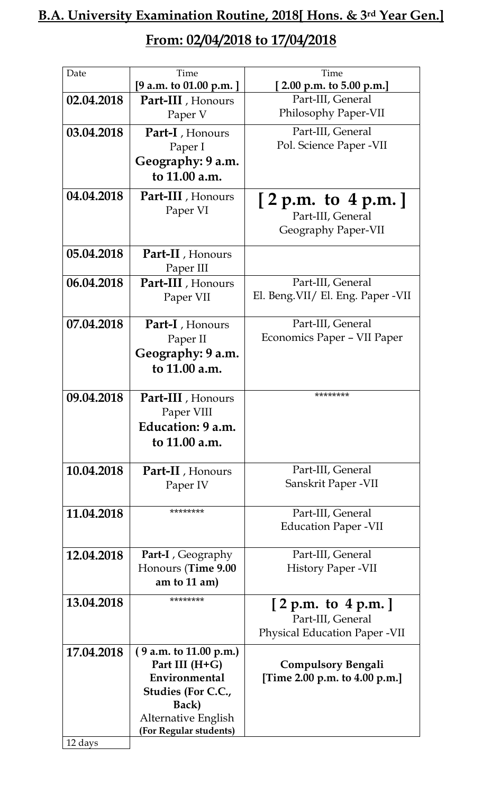## **B.A. University Examination Routine, 2018[ Hons. & 3rd Year Gen.] From: 02/04/2018 to 17/04/2018**

| Date       | Time                                          | Time                                      |
|------------|-----------------------------------------------|-------------------------------------------|
|            | [9 a.m. to 01.00 p.m. ]                       | [2.00 p.m. to 5.00 p.m.]                  |
| 02.04.2018 | <b>Part-III</b> , Honours<br>Paper V          | Part-III, General<br>Philosophy Paper-VII |
| 03.04.2018 | Part-I, Honours                               | Part-III, General                         |
|            | Paper I                                       | Pol. Science Paper - VII                  |
|            | Geography: 9 a.m.                             |                                           |
|            | to 11.00 a.m.                                 |                                           |
| 04.04.2018 | Part-III, Honours                             | [2 p.m. to 4 p.m.]                        |
|            | Paper VI                                      | Part-III, General                         |
|            |                                               | Geography Paper-VII                       |
|            |                                               |                                           |
| 05.04.2018 | Part-II, Honours                              |                                           |
|            | Paper III                                     |                                           |
| 06.04.2018 | Part-III, Honours                             | Part-III, General                         |
|            | Paper VII                                     | El. Beng. VII/ El. Eng. Paper - VII       |
|            |                                               |                                           |
| 07.04.2018 | Part-I, Honours                               | Part-III, General                         |
|            | Paper II                                      | Economics Paper - VII Paper               |
|            | Geography: 9 a.m.                             |                                           |
|            | to 11.00 a.m.                                 |                                           |
|            |                                               |                                           |
| 09.04.2018 | <b>Part-III</b> , Honours                     | ********                                  |
|            | Paper VIII                                    |                                           |
|            | Education: 9 a.m.                             |                                           |
|            | to 11.00 a.m.                                 |                                           |
|            |                                               |                                           |
| 10.04.2018 | <b>Part-II</b> , Honours                      | Part-III, General                         |
|            | Paper IV                                      | Sanskrit Paper - VII                      |
|            |                                               |                                           |
| 11.04.2018 | ********                                      | Part-III, General                         |
|            |                                               | <b>Education Paper -VII</b>               |
|            |                                               |                                           |
| 12.04.2018 | <b>Part-I</b> , Geography                     | Part-III, General                         |
|            | Honours (Time 9.00                            | History Paper - VII                       |
|            | am to $11$ am)                                |                                           |
| 13.04.2018 | ********                                      |                                           |
|            |                                               | [2 p.m. to 4 p.m.]<br>Part-III, General   |
|            |                                               | <b>Physical Education Paper -VII</b>      |
|            |                                               |                                           |
| 17.04.2018 | (9 a.m. to 11.00 p.m.)                        |                                           |
|            | Part III (H+G)                                | <b>Compulsory Bengali</b>                 |
|            | Environmental                                 | [Time 2.00 p.m. to 4.00 p.m.]             |
|            | Studies (For C.C.,                            |                                           |
|            | Back)                                         |                                           |
|            | Alternative English<br>(For Regular students) |                                           |
| 12 days    |                                               |                                           |